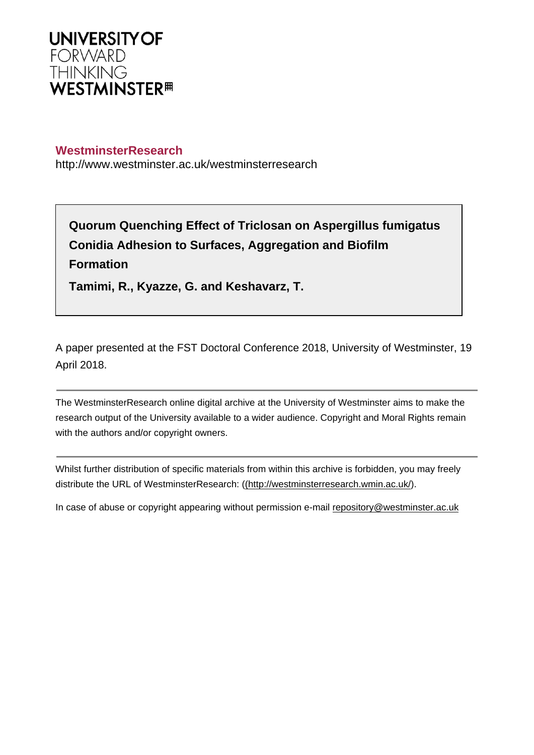

## **WestminsterResearch**

http://www.westminster.ac.uk/westminsterresearch

**Quorum Quenching Effect of Triclosan on Aspergillus fumigatus Conidia Adhesion to Surfaces, Aggregation and Biofilm Formation** 

**Tamimi, R., Kyazze, G. and Keshavarz, T.**

A paper presented at the FST Doctoral Conference 2018, University of Westminster, 19 April 2018.

The WestminsterResearch online digital archive at the University of Westminster aims to make the research output of the University available to a wider audience. Copyright and Moral Rights remain with the authors and/or copyright owners.

Whilst further distribution of specific materials from within this archive is forbidden, you may freely distribute the URL of WestminsterResearch: [\(\(http://westminsterresearch.wmin.ac.uk/](http://westminsterresearch.wmin.ac.uk/)).

In case of abuse or copyright appearing without permission e-mail <repository@westminster.ac.uk>